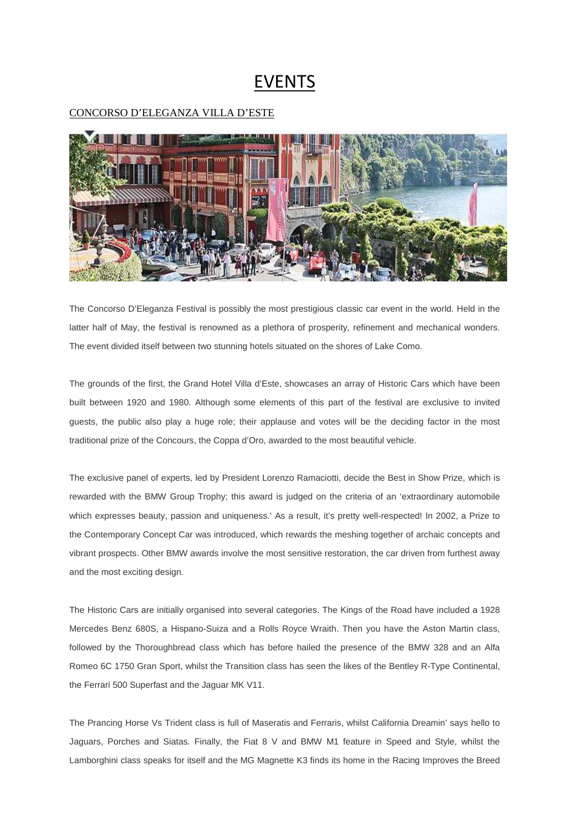## EVENTS

## CONCORSO D'ELEGANZA VILLA D'ESTE



The Concorso D'Eleganza Festival is possibly the most prestigious classic car event in the world. Held in the latter half of May, the festival is renowned as a plethora of prosperity, refinement and mechanical wonders. The event divided itself between two stunning hotels situated on the shores of Lake Como.

The grounds of the first, the Grand Hotel Villa d'Este, showcases an array of Historic Cars which have been built between 1920 and 1980. Although some elements of this part of the festival are exclusive to invited guests, the public also play a huge role; their applause and votes will be the deciding factor in the most traditional prize of the Concours, the Coppa d'Oro, awarded to the most beautiful vehicle.

The exclusive panel of experts, led by President Lorenzo Ramaciotti, decide the Best in Show Prize, which is rewarded with the BMW Group Trophy; this award is judged on the criteria of an 'extraordinary automobile which expresses beauty, passion and uniqueness.' As a result, it's pretty well-respected! In 2002, a Prize to the Contemporary Concept Car was introduced, which rewards the meshing together of archaic concepts and vibrant prospects. Other BMW awards involve the most sensitive restoration, the car driven from furthest away and the most exciting design.

The Historic Cars are initially organised into several categories. The Kings of the Road have included a 1928 Mercedes Benz 680S, a Hispano-Suiza and a Rolls Royce Wraith. Then you have the Aston Martin class, followed by the Thoroughbread class which has before hailed the presence of the BMW 328 and an Alfa Romeo 6C 1750 Gran Sport, whilst the Transition class has seen the likes of the Bentley R-Type Continental, the Ferrari 500 Superfast and the Jaguar MK V11.

The Prancing Horse Vs Trident class is full of Maseratis and Ferraris, whilst California Dreamin' says hello to Jaguars, Porches and Siatas. Finally, the Fiat 8 V and BMW M1 feature in Speed and Style, whilst the Lamborghini class speaks for itself and the MG Magnette K3 finds its home in the Racing Improves the Breed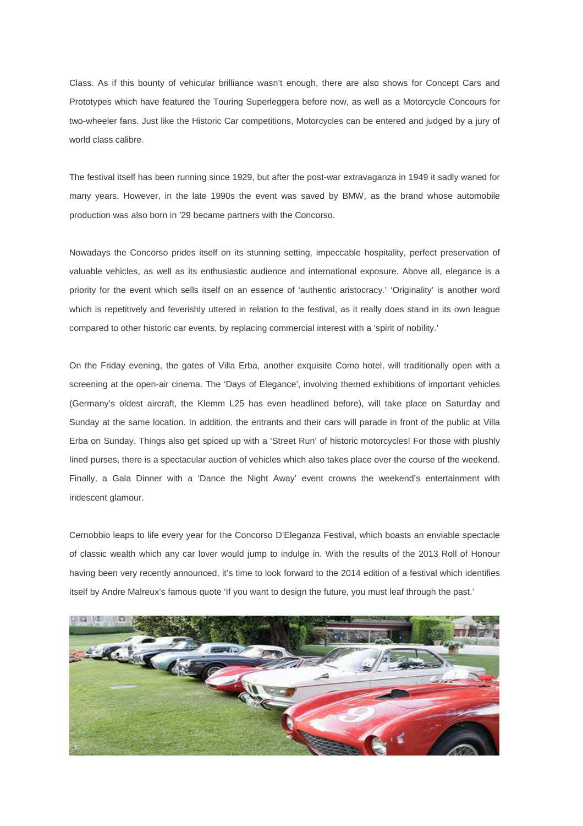Class. As if this bounty of vehicular brilliance wasn't enough, there are also shows for Concept Cars and Prototypes which have featured the Touring Superleggera before now, as well as a Motorcycle Concours for two-wheeler fans. Just like the Historic Car competitions, Motorcycles can be entered and judged by a jury of world class calibre.

The festival itself has been running since 1929, but after the post-war extravaganza in 1949 it sadly waned for many years. However, in the late 1990s the event was saved by BMW, as the brand whose automobile production was also born in '29 became partners with the Concorso.

Nowadays the Concorso prides itself on its stunning setting, impeccable hospitality, perfect preservation of valuable vehicles, as well as its enthusiastic audience and international exposure. Above all, elegance is a priority for the event which sells itself on an essence of 'authentic aristocracy.' 'Originality' is another word which is repetitively and feverishly uttered in relation to the festival, as it really does stand in its own league compared to other historic car events, by replacing commercial interest with a 'spirit of nobility.'

On the Friday evening, the gates of Villa Erba, another exquisite Como hotel, will traditionally open with a screening at the open-air cinema. The 'Days of Elegance', involving themed exhibitions of important vehicles (Germany's oldest aircraft, the Klemm L25 has even headlined before), will take place on Saturday and Sunday at the same location. In addition, the entrants and their cars will parade in front of the public at Villa Erba on Sunday. Things also get spiced up with a 'Street Run' of historic motorcycles! For those with plushly lined purses, there is a spectacular auction of vehicles which also takes place over the course of the weekend. Finally, a Gala Dinner with a 'Dance the Night Away' event crowns the weekend's entertainment with iridescent glamour.

Cernobbio leaps to life every year for the Concorso D'Eleganza Festival, which boasts an enviable spectacle of classic wealth which any car lover would jump to indulge in. With the results of the 2013 Roll of Honour having been very recently announced, it's time to look forward to the 2014 edition of a festival which identifies itself by Andre Malreux's famous quote 'If you want to design the future, you must leaf through the past.'

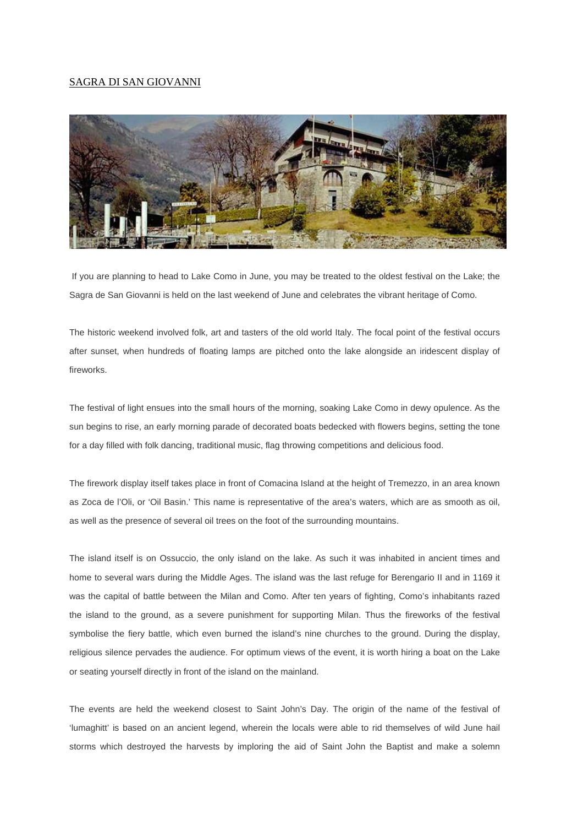## SAGRA DI SAN GIOVANNI



 If you are planning to head to Lake Como in June, you may be treated to the oldest festival on the Lake; the Sagra de San Giovanni is held on the last weekend of June and celebrates the vibrant heritage of Como.

The historic weekend involved folk, art and tasters of the old world Italy. The focal point of the festival occurs after sunset, when hundreds of floating lamps are pitched onto the lake alongside an iridescent display of fireworks.

The festival of light ensues into the small hours of the morning, soaking Lake Como in dewy opulence. As the sun begins to rise, an early morning parade of decorated boats bedecked with flowers begins, setting the tone for a day filled with folk dancing, traditional music, flag throwing competitions and delicious food.

The firework display itself takes place in front of Comacina Island at the height of Tremezzo, in an area known as Zoca de l'Oli, or 'Oil Basin.' This name is representative of the area's waters, which are as smooth as oil, as well as the presence of several oil trees on the foot of the surrounding mountains.

The island itself is on Ossuccio, the only island on the lake. As such it was inhabited in ancient times and home to several wars during the Middle Ages. The island was the last refuge for Berengario II and in 1169 it was the capital of battle between the Milan and Como. After ten years of fighting, Como's inhabitants razed the island to the ground, as a severe punishment for supporting Milan. Thus the fireworks of the festival symbolise the fiery battle, which even burned the island's nine churches to the ground. During the display, religious silence pervades the audience. For optimum views of the event, it is worth hiring a boat on the Lake or seating yourself directly in front of the island on the mainland.

The events are held the weekend closest to Saint John's Day. The origin of the name of the festival of 'lumaghitt' is based on an ancient legend, wherein the locals were able to rid themselves of wild June hail storms which destroyed the harvests by imploring the aid of Saint John the Baptist and make a solemn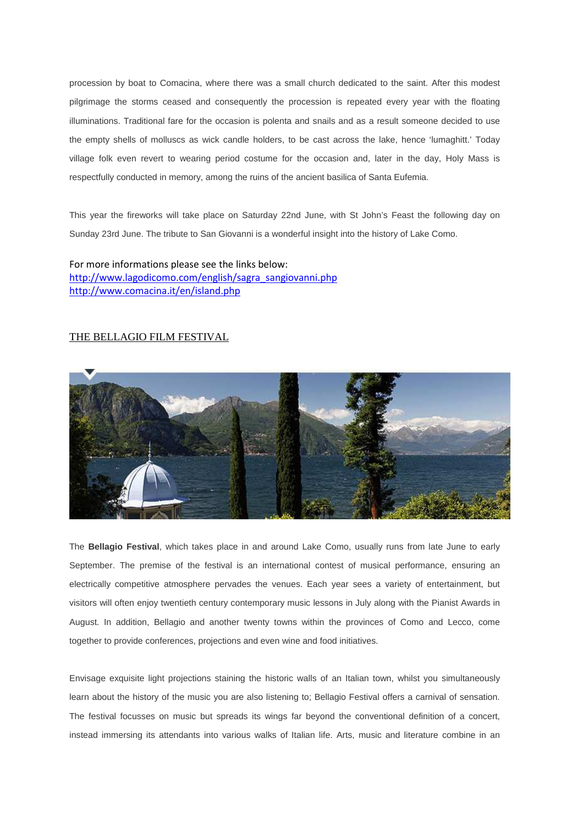procession by boat to Comacina, where there was a small church dedicated to the saint. After this modest pilgrimage the storms ceased and consequently the procession is repeated every year with the floating illuminations. Traditional fare for the occasion is polenta and snails and as a result someone decided to use the empty shells of molluscs as wick candle holders, to be cast across the lake, hence 'lumaghitt.' Today village folk even revert to wearing period costume for the occasion and, later in the day, Holy Mass is respectfully conducted in memory, among the ruins of the ancient basilica of Santa Eufemia.

This year the fireworks will take place on Saturday 22nd June, with St John's Feast the following day on Sunday 23rd June. The tribute to San Giovanni is a wonderful insight into the history of Lake Como.

For more informations please see the links below: http://www.lagodicomo.com/english/sagra\_sangiovanni.php http://www.comacina.it/en/island.php

## THE BELLAGIO FILM FESTIVAL



The **Bellagio Festival**, which takes place in and around Lake Como, usually runs from late June to early September. The premise of the festival is an international contest of musical performance, ensuring an electrically competitive atmosphere pervades the venues. Each year sees a variety of entertainment, but visitors will often enjoy twentieth century contemporary music lessons in July along with the Pianist Awards in August. In addition, Bellagio and another twenty towns within the provinces of Como and Lecco, come together to provide conferences, projections and even wine and food initiatives.

Envisage exquisite light projections staining the historic walls of an Italian town, whilst you simultaneously learn about the history of the music you are also listening to; Bellagio Festival offers a carnival of sensation. The festival focusses on music but spreads its wings far beyond the conventional definition of a concert, instead immersing its attendants into various walks of Italian life. Arts, music and literature combine in an